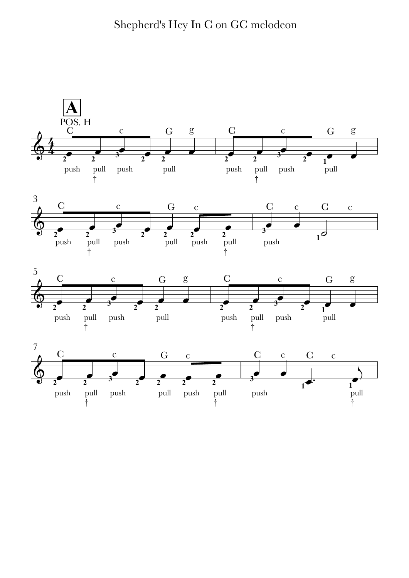